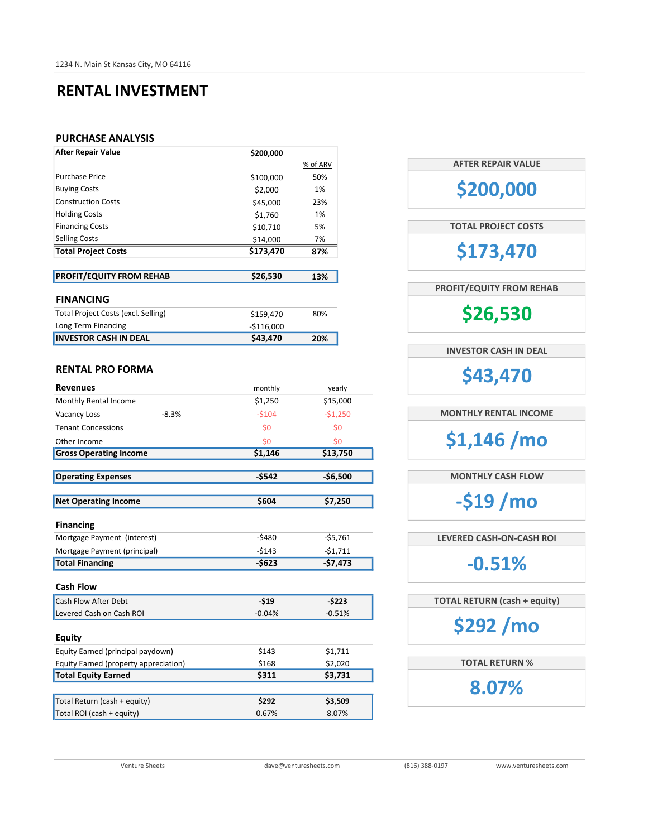### RENTAL INVESTMENT

#### PURCHASE ANALYSIS

| <b>After Repair Value</b>  | \$200,000 |          |
|----------------------------|-----------|----------|
|                            |           | % of ARV |
| <b>Purchase Price</b>      | \$100,000 | 50%      |
| <b>Buying Costs</b>        | \$2,000   | 1%       |
| <b>Construction Costs</b>  | \$45,000  | 23%      |
| <b>Holding Costs</b>       | \$1,760   | 1%       |
| <b>Financing Costs</b>     | \$10,710  | 5%       |
| <b>Selling Costs</b>       | \$14,000  | 7%       |
| <b>Total Project Costs</b> | \$173,470 | 87%      |
|                            |           |          |

| <b>PROFIT/EQUITY FROM REHAB</b>     | \$26,530    | 13% |
|-------------------------------------|-------------|-----|
|                                     |             |     |
| <b>FINANCING</b>                    |             |     |
| Total Project Costs (excl. Selling) | \$159,470   | 80% |
| Long Term Financing                 | $-5116.000$ |     |
| <b>INVESTOR CASH IN DEAL</b>        | \$43,470    | 20% |

#### RENTAL PRO FORMA

| <b>Revenues</b>                       | monthly  | yearly    |
|---------------------------------------|----------|-----------|
| Monthly Rental Income                 | \$1,250  | \$15,000  |
| <b>Vacancy Loss</b><br>$-8.3%$        | $-5104$  | $-51,250$ |
| <b>Tenant Concessions</b>             | \$0      | \$0       |
| Other Income                          | \$0      | \$0       |
| <b>Gross Operating Income</b>         | \$1,146  | \$13,750  |
|                                       |          |           |
| <b>Operating Expenses</b>             | $-5542$  | $-56,500$ |
|                                       |          |           |
| <b>Net Operating Income</b>           | \$604    | \$7,250   |
|                                       |          |           |
| <b>Financing</b>                      |          |           |
| Mortgage Payment (interest)           | $-5480$  | $-55,761$ |
| Mortgage Payment (principal)          | $-5143$  | $-51,711$ |
| <b>Total Financing</b>                | -\$623   | $-57,473$ |
|                                       |          |           |
| <b>Cash Flow</b>                      |          |           |
| Cash Flow After Debt                  | $-519$   | $-5223$   |
| Levered Cash on Cash ROI              | $-0.04%$ | $-0.51%$  |
|                                       |          |           |
| <b>Equity</b>                         |          |           |
| Equity Earned (principal paydown)     | \$143    | \$1,711   |
| Equity Earned (property appreciation) | \$168    | \$2,020   |
| <b>Total Equity Earned</b>            | \$311    | \$3,731   |
|                                       |          |           |
| Total Return (cash + equity)          | \$292    | \$3,509   |
| Total ROI (cash + equity)             | 0.67%    | 8.07%     |

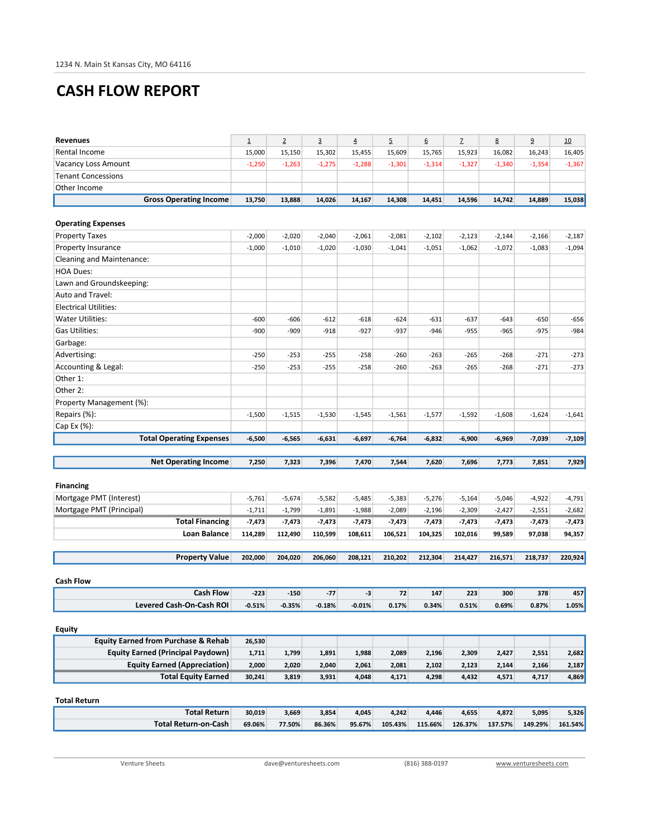# CASH FLOW REPORT

| <b>Revenues</b>                                | $\underline{\mathbf{1}}$ | $\overline{2}$ | $\overline{3}$ | $\overline{\mathbf{4}}$ | 5        | 6        | $\overline{1}$ | 8        | $\overline{9}$ | 10           |
|------------------------------------------------|--------------------------|----------------|----------------|-------------------------|----------|----------|----------------|----------|----------------|--------------|
| Rental Income                                  | 15,000                   | 15,150         | 15,302         | 15,455                  | 15,609   | 15,765   | 15,923         | 16,082   | 16,243         | 16,405       |
| Vacancy Loss Amount                            | $-1,250$                 | $-1,263$       | $-1,275$       | $-1,288$                | $-1,301$ | $-1,314$ | $-1,327$       | $-1,340$ | $-1,354$       | $-1,367$     |
| <b>Tenant Concessions</b>                      |                          |                |                |                         |          |          |                |          |                |              |
| Other Income                                   |                          |                |                |                         |          |          |                |          |                |              |
| <b>Gross Operating Income</b>                  | 13,750                   | 13,888         | 14,026         | 14,167                  | 14,308   | 14,451   | 14,596         | 14,742   | 14,889         | 15,038       |
|                                                |                          |                |                |                         |          |          |                |          |                |              |
| <b>Operating Expenses</b>                      |                          |                |                |                         |          |          |                |          |                |              |
| <b>Property Taxes</b>                          | $-2,000$                 | $-2,020$       | $-2,040$       | $-2,061$                | $-2,081$ | $-2,102$ | $-2,123$       | $-2,144$ | $-2,166$       | $-2,187$     |
| Property Insurance                             | $-1,000$                 | $-1,010$       | $-1,020$       | $-1,030$                | $-1,041$ | $-1,051$ | $-1,062$       | $-1,072$ | $-1,083$       | $-1,094$     |
| Cleaning and Maintenance:                      |                          |                |                |                         |          |          |                |          |                |              |
| <b>HOA Dues:</b>                               |                          |                |                |                         |          |          |                |          |                |              |
| Lawn and Groundskeeping:                       |                          |                |                |                         |          |          |                |          |                |              |
| Auto and Travel:                               |                          |                |                |                         |          |          |                |          |                |              |
| <b>Electrical Utilities:</b>                   |                          |                |                |                         |          |          |                |          |                |              |
| <b>Water Utilities:</b>                        | $-600$                   | $-606$         | $-612$         | $-618$                  | $-624$   | $-631$   | $-637$         | -643     | $-650$         | $-656$       |
| <b>Gas Utilities:</b>                          | $-900$                   | $-909$         | $-918$         | $-927$                  | $-937$   | $-946$   | $-955$         | $-965$   | $-975$         | $-984$       |
| Garbage:                                       |                          |                |                |                         |          |          |                |          |                |              |
| Advertising:                                   | $-250$                   | $-253$         | $-255$         | $-258$                  | $-260$   | $-263$   | $-265$         | $-268$   | $-271$         | $-273$       |
| Accounting & Legal:                            | $-250$                   | $-253$         | $-255$         | $-258$                  | $-260$   | $-263$   | $-265$         | $-268$   | $-271$         | $-273$       |
| Other 1:                                       |                          |                |                |                         |          |          |                |          |                |              |
| Other 2:                                       |                          |                |                |                         |          |          |                |          |                |              |
| Property Management (%):                       |                          |                |                |                         |          |          |                |          |                |              |
| Repairs (%):                                   | $-1,500$                 | $-1,515$       | $-1,530$       | $-1,545$                | $-1,561$ | $-1,577$ | $-1,592$       | $-1,608$ | $-1,624$       | $-1,641$     |
| Cap Ex (%):                                    |                          |                |                |                         |          |          |                |          |                |              |
|                                                |                          |                |                |                         |          |          |                |          |                |              |
| <b>Total Operating Expenses</b>                | $-6,500$                 | $-6,565$       | $-6,631$       | $-6,697$                | -6,764   | -6,832   | -6,900         | -6,969   | -7,039         | -7,109       |
|                                                |                          |                |                |                         |          |          |                |          |                |              |
| <b>Net Operating Income</b>                    | 7,250                    | 7,323          | 7,396          | 7,470                   | 7,544    | 7,620    | 7,696          | 7,773    | 7,851          | 7,929        |
|                                                |                          |                |                |                         |          |          |                |          |                |              |
| <b>Financing</b>                               |                          |                |                |                         |          |          |                |          |                |              |
| Mortgage PMT (Interest)                        | $-5,761$                 | $-5,674$       | $-5,582$       | $-5,485$                | $-5,383$ | $-5,276$ | $-5,164$       | $-5,046$ | $-4,922$       | $-4,791$     |
| Mortgage PMT (Principal)                       | $-1,711$                 | $-1,799$       | $-1,891$       | $-1,988$                | $-2,089$ | $-2,196$ | $-2,309$       | $-2,427$ | $-2,551$       | $-2,682$     |
| <b>Total Financing</b>                         | $-7,473$                 | $-7,473$       | $-7,473$       | -7,473                  | $-7,473$ | $-7,473$ | $-7,473$       | -7,473   | -7,473         | -7,473       |
| <b>Loan Balance</b>                            | 114,289                  | 112,490        | 110,599        | 108,611                 | 106,521  | 104,325  | 102,016        | 99,589   | 97,038         | 94,357       |
|                                                |                          |                |                |                         |          |          |                |          |                |              |
| <b>Property Value</b>                          | 202.000                  | 204,020        | 206,060        | 208,121                 | 210,202  | 212,304  | 214,427        | 216,571  | 218,737        | 220,924      |
|                                                |                          |                |                |                         |          |          |                |          |                |              |
| <b>Cash Flow</b><br><b>Cash Flow</b>           | $-223$                   | $-150$         | $-77$          | -3                      | 72       | 147      | 223            | 300      | 378            |              |
| <b>Levered Cash-On-Cash ROI</b>                | $-0.51%$                 | $-0.35%$       | $-0.18%$       | $-0.01%$                | 0.17%    | 0.34%    | 0.51%          | 0.69%    | 0.87%          | 457<br>1.05% |
|                                                |                          |                |                |                         |          |          |                |          |                |              |
| <b>Equity</b>                                  |                          |                |                |                         |          |          |                |          |                |              |
| <b>Equity Earned from Purchase &amp; Rehab</b> | 26,530                   |                |                |                         |          |          |                |          |                |              |
| <b>Equity Earned (Principal Paydown)</b>       | 1,711                    | 1,799          | 1,891          | 1,988                   | 2,089    | 2,196    | 2,309          | 2,427    | 2,551          | 2,682        |
| <b>Equity Earned (Appreciation)</b>            | 2,000                    | 2,020          | 2,040          | 2,061                   | 2,081    | 2,102    | 2,123          | 2,144    | 2,166          | 2,187        |
| <b>Total Equity Earned</b>                     | 30,241                   | 3,819          | 3,931          | 4,048                   | 4,171    | 4,298    | 4,432          | 4,571    | 4,717          | 4,869        |
|                                                |                          |                |                |                         |          |          |                |          |                |              |
| <b>Total Return</b>                            |                          |                |                |                         |          |          |                |          |                |              |
| <b>Total Return</b>                            | 30,019                   | 3,669          | 3,854          | 4,045                   | 4,242    | 4,446    | 4,655          | 4,872    | 5,095          | 5,326        |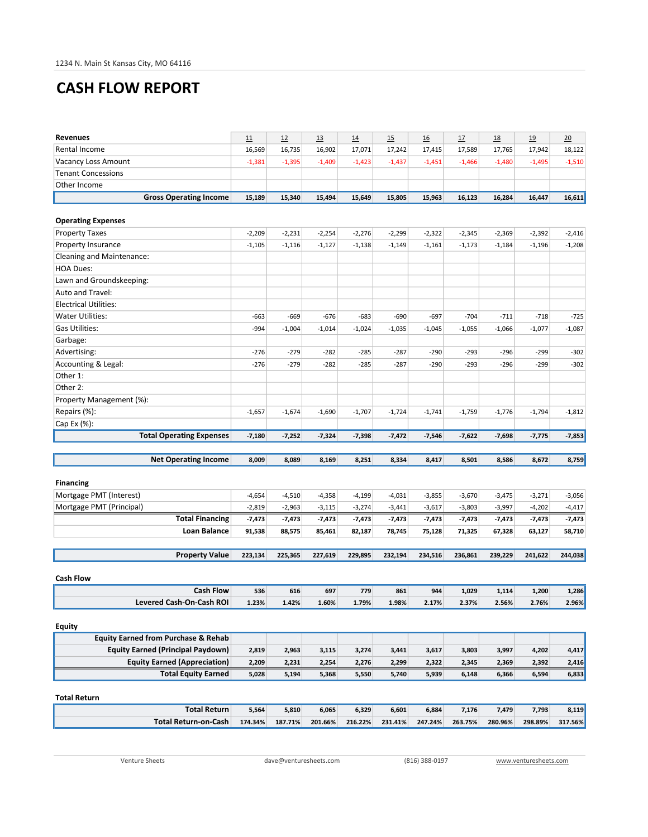# CASH FLOW REPORT

| <b>Revenues</b>                                | 11       | 12       | 13       | 14       | 15       | 16       | 17       | 18       | 19       | 20       |
|------------------------------------------------|----------|----------|----------|----------|----------|----------|----------|----------|----------|----------|
| Rental Income                                  | 16,569   | 16,735   | 16,902   | 17,071   | 17,242   | 17,415   | 17,589   | 17,765   | 17,942   | 18,122   |
| Vacancy Loss Amount                            | $-1,381$ | $-1,395$ | $-1,409$ | $-1,423$ | $-1,437$ | $-1,451$ | $-1,466$ | $-1,480$ | $-1,495$ | $-1,510$ |
| <b>Tenant Concessions</b>                      |          |          |          |          |          |          |          |          |          |          |
| Other Income                                   |          |          |          |          |          |          |          |          |          |          |
| <b>Gross Operating Income</b>                  | 15,189   | 15,340   | 15,494   | 15,649   | 15,805   | 15,963   | 16,123   | 16,284   | 16,447   | 16,611   |
|                                                |          |          |          |          |          |          |          |          |          |          |
| <b>Operating Expenses</b>                      |          |          |          |          |          |          |          |          |          |          |
| <b>Property Taxes</b>                          | $-2,209$ | $-2,231$ | $-2,254$ | $-2,276$ | $-2,299$ | $-2,322$ | $-2,345$ | $-2,369$ | $-2,392$ | $-2,416$ |
| Property Insurance                             | $-1,105$ | $-1,116$ | $-1,127$ | $-1,138$ | $-1,149$ | $-1,161$ | $-1,173$ | $-1,184$ | $-1,196$ | $-1,208$ |
| Cleaning and Maintenance:                      |          |          |          |          |          |          |          |          |          |          |
| <b>HOA Dues:</b>                               |          |          |          |          |          |          |          |          |          |          |
| Lawn and Groundskeeping:                       |          |          |          |          |          |          |          |          |          |          |
| Auto and Travel:                               |          |          |          |          |          |          |          |          |          |          |
| <b>Electrical Utilities:</b>                   |          |          |          |          |          |          |          |          |          |          |
| Water Utilities:                               | $-663$   | $-669$   | $-676$   | $-683$   | $-690$   | $-697$   | $-704$   | $-711$   | $-718$   | $-725$   |
| <b>Gas Utilities:</b>                          | $-994$   | $-1,004$ | $-1,014$ | $-1,024$ | $-1,035$ | $-1,045$ | $-1,055$ | $-1,066$ | $-1,077$ | $-1,087$ |
| Garbage:                                       |          |          |          |          |          |          |          |          |          |          |
| Advertising:                                   | $-276$   | $-279$   | $-282$   | $-285$   | $-287$   | $-290$   | $-293$   | $-296$   | $-299$   | $-302$   |
| Accounting & Legal:                            | $-276$   | $-279$   | $-282$   | $-285$   | $-287$   | $-290$   | $-293$   | $-296$   | $-299$   | $-302$   |
| Other 1:                                       |          |          |          |          |          |          |          |          |          |          |
| Other 2:                                       |          |          |          |          |          |          |          |          |          |          |
| Property Management (%):                       |          |          |          |          |          |          |          |          |          |          |
| Repairs (%):                                   | $-1,657$ | $-1,674$ | $-1,690$ | $-1,707$ | $-1,724$ | $-1,741$ | $-1,759$ | $-1,776$ | $-1,794$ | $-1,812$ |
| Cap Ex (%):                                    |          |          |          |          |          |          |          |          |          |          |
| <b>Total Operating Expenses</b>                | $-7,180$ | $-7,252$ | $-7,324$ | $-7,398$ | $-7,472$ | $-7,546$ | $-7,622$ | $-7,698$ | $-7,775$ | $-7,853$ |
|                                                |          |          |          |          |          |          |          |          |          |          |
| <b>Net Operating Income</b>                    | 8,009    | 8,089    | 8,169    | 8,251    | 8,334    | 8,417    | 8,501    | 8,586    | 8,672    | 8,759    |
|                                                |          |          |          |          |          |          |          |          |          |          |
| <b>Financing</b>                               |          |          |          |          |          |          |          |          |          |          |
| Mortgage PMT (Interest)                        | $-4,654$ | $-4,510$ | $-4,358$ | $-4,199$ | $-4,031$ | $-3,855$ | $-3,670$ | $-3,475$ | $-3,271$ | $-3,056$ |
| Mortgage PMT (Principal)                       | $-2,819$ | $-2,963$ | $-3,115$ | $-3,274$ | $-3,441$ | $-3,617$ | $-3,803$ | $-3,997$ | $-4,202$ | $-4,417$ |
| <b>Total Financing</b>                         | $-7,473$ | $-7,473$ | -7,473   | -7,473   | $-7,473$ | $-7,473$ | $-7,473$ | -7,473   | $-7,473$ | $-7,473$ |
| Loan Balance                                   | 91,538   | 88,575   | 85,461   | 82,187   | 78,745   | 75,128   | 71,325   | 67,328   | 63,127   | 58,710   |
|                                                |          |          |          |          |          |          |          |          |          |          |
| <b>Property Value</b>                          | 223,134  | 225,365  | 227,619  | 229,895  | 232,194  | 234,516  | 236,861  | 239,229  | 241,622  | 244,038  |
|                                                |          |          |          |          |          |          |          |          |          |          |
| <b>Cash Flow</b>                               |          |          |          |          |          |          |          |          |          |          |
| <b>Cash Flow</b>                               | 536      | 616      | 697      | 779      | 861      | 944      | 1,029    | 1,114    | 1,200    | 1,286    |
| <b>Levered Cash-On-Cash ROI</b>                | 1.23%    | 1.42%    | 1.60%    | 1.79%    | 1.98%    | 2.17%    | 2.37%    | 2.56%    | 2.76%    | 2.96%    |
|                                                |          |          |          |          |          |          |          |          |          |          |
| <b>Equity</b>                                  |          |          |          |          |          |          |          |          |          |          |
| <b>Equity Earned from Purchase &amp; Rehab</b> |          |          |          |          |          |          |          |          |          |          |
| <b>Equity Earned (Principal Paydown)</b>       | 2,819    | 2,963    | 3,115    | 3,274    | 3,441    | 3,617    | 3,803    | 3,997    | 4,202    | 4,417    |
| <b>Equity Earned (Appreciation)</b>            | 2,209    | 2,231    | 2,254    | 2,276    | 2,299    | 2,322    | 2,345    | 2,369    | 2,392    | 2,416    |
| <b>Total Equity Earned</b>                     | 5,028    | 5,194    | 5,368    | 5,550    | 5,740    | 5,939    | 6,148    | 6,366    | 6,594    | 6,833    |
|                                                |          |          |          |          |          |          |          |          |          |          |
| <b>Total Return</b>                            |          |          |          |          |          |          |          |          |          |          |
| <b>Total Return</b>                            | 5,564    | 5,810    | 6,065    | 6,329    | 6,601    | 6,884    | 7,176    | 7,479    | 7,793    | 8,119    |
| <b>Total Return-on-Cash</b>                    | 174.34%  | 187.71%  | 201.66%  | 216.22%  | 231.41%  | 247.24%  | 263.75%  | 280.96%  | 298.89%  | 317.56%  |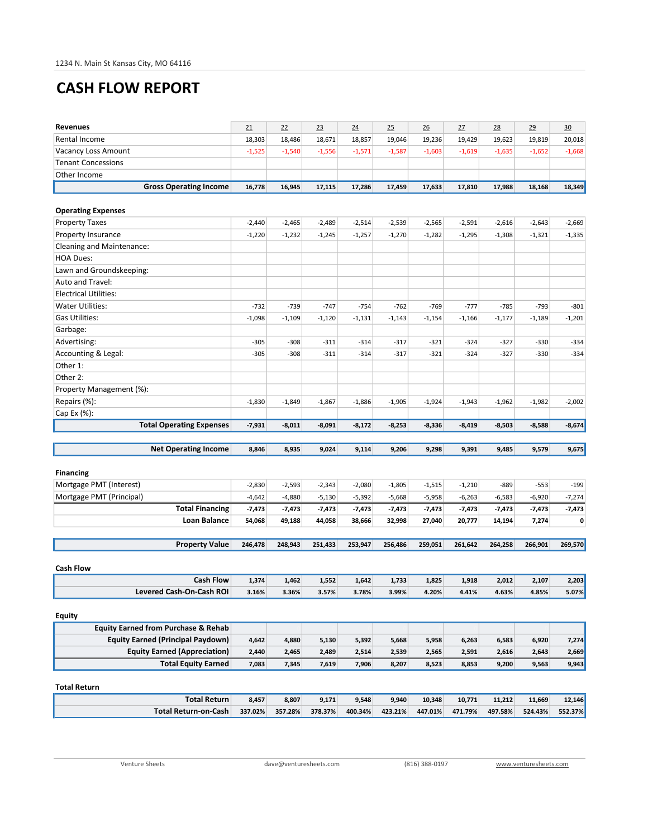# CASH FLOW REPORT

| <b>Revenues</b>                                | 21       | 22       | 23       | 24       | 25       | 26       | 27       | 28       | 29       | 30       |
|------------------------------------------------|----------|----------|----------|----------|----------|----------|----------|----------|----------|----------|
| Rental Income                                  | 18,303   | 18,486   | 18,671   | 18,857   | 19,046   | 19,236   | 19,429   | 19,623   | 19,819   | 20,018   |
| Vacancy Loss Amount                            | $-1,525$ | $-1,540$ | $-1,556$ | $-1,571$ | $-1,587$ | $-1,603$ | $-1,619$ | $-1,635$ | $-1,652$ | $-1,668$ |
| <b>Tenant Concessions</b>                      |          |          |          |          |          |          |          |          |          |          |
| Other Income                                   |          |          |          |          |          |          |          |          |          |          |
| <b>Gross Operating Income</b>                  | 16,778   | 16,945   | 17,115   | 17,286   | 17,459   | 17,633   | 17,810   | 17,988   | 18.168   | 18,349   |
|                                                |          |          |          |          |          |          |          |          |          |          |
| <b>Operating Expenses</b>                      |          |          |          |          |          |          |          |          |          |          |
| <b>Property Taxes</b>                          | $-2,440$ | $-2,465$ | $-2,489$ | $-2,514$ | $-2,539$ | $-2,565$ | $-2,591$ | $-2,616$ | $-2,643$ | $-2,669$ |
| Property Insurance                             | $-1,220$ | $-1,232$ | $-1,245$ | $-1,257$ | $-1,270$ | $-1,282$ | $-1,295$ | $-1,308$ | $-1,321$ | $-1,335$ |
| Cleaning and Maintenance:                      |          |          |          |          |          |          |          |          |          |          |
| <b>HOA Dues:</b>                               |          |          |          |          |          |          |          |          |          |          |
| Lawn and Groundskeeping:                       |          |          |          |          |          |          |          |          |          |          |
| Auto and Travel:                               |          |          |          |          |          |          |          |          |          |          |
| <b>Electrical Utilities:</b>                   |          |          |          |          |          |          |          |          |          |          |
| <b>Water Utilities:</b>                        | $-732$   | $-739$   | $-747$   | $-754$   | $-762$   | $-769$   | $-777$   | $-785$   | $-793$   | $-801$   |
| <b>Gas Utilities:</b>                          | $-1,098$ | $-1,109$ | $-1,120$ | $-1,131$ | $-1,143$ | $-1,154$ | $-1,166$ | $-1,177$ | $-1,189$ | $-1,201$ |
| Garbage:                                       |          |          |          |          |          |          |          |          |          |          |
| Advertising:                                   | $-305$   | $-308$   | $-311$   | $-314$   | $-317$   | $-321$   | $-324$   | $-327$   | $-330$   | $-334$   |
| Accounting & Legal:                            | $-305$   | $-308$   | $-311$   | $-314$   | $-317$   | $-321$   | $-324$   | $-327$   | $-330$   | $-334$   |
| Other 1:                                       |          |          |          |          |          |          |          |          |          |          |
| Other 2:                                       |          |          |          |          |          |          |          |          |          |          |
| Property Management (%):                       |          |          |          |          |          |          |          |          |          |          |
| Repairs (%):                                   | $-1,830$ | $-1,849$ | $-1,867$ | $-1,886$ | $-1,905$ | $-1,924$ | $-1,943$ | $-1,962$ | $-1,982$ | $-2,002$ |
| Cap Ex (%):                                    |          |          |          |          |          |          |          |          |          |          |
| <b>Total Operating Expenses</b>                | $-7,931$ | $-8,011$ | $-8,091$ | $-8,172$ | $-8,253$ | $-8,336$ | $-8,419$ | $-8,503$ | $-8,588$ | $-8,674$ |
|                                                |          |          |          |          |          |          |          |          |          |          |
|                                                |          |          |          |          |          |          |          |          |          |          |
| <b>Net Operating Income</b>                    | 8,846    | 8,935    | 9,024    | 9,114    | 9,206    | 9,298    | 9,391    | 9,485    | 9,579    | 9,675    |
|                                                |          |          |          |          |          |          |          |          |          |          |
| <b>Financing</b>                               |          |          |          |          |          |          |          |          |          |          |
| Mortgage PMT (Interest)                        | $-2,830$ | $-2,593$ | $-2,343$ | $-2,080$ | $-1,805$ | $-1,515$ | $-1,210$ | $-889$   | $-553$   | $-199$   |
| Mortgage PMT (Principal)                       | $-4,642$ | $-4,880$ | $-5,130$ | $-5,392$ | $-5,668$ | $-5,958$ | $-6,263$ | $-6,583$ | $-6,920$ | $-7,274$ |
| <b>Total Financing</b>                         | $-7,473$ | $-7,473$ | $-7,473$ | -7,473   | $-7,473$ | $-7,473$ | $-7,473$ | -7,473   | -7,473   | -7,473   |
| Loan Balance                                   | 54,068   | 49,188   | 44,058   | 38,666   | 32,998   | 27,040   | 20,777   | 14,194   | 7,274    | 0        |
|                                                |          |          |          |          |          |          |          |          |          |          |
| <b>Property Value</b>                          | 246,478  | 248,943  | 251,433  | 253,947  | 256,486  | 259,051  | 261,642  | 264,258  | 266,901  | 269,570  |
|                                                |          |          |          |          |          |          |          |          |          |          |
| <b>Cash Flow</b>                               |          |          |          |          |          |          |          |          |          |          |
| <b>Cash Flow</b>                               | 1,374    | 1,462    | 1,552    | 1,642    | 1,733    | 1,825    | 1,918    | 2,012    | 2,107    | 2,203    |
| <b>Levered Cash-On-Cash ROI</b>                | 3.16%    | 3.36%    | 3.57%    | 3.78%    | 3.99%    | 4.20%    | 4.41%    | 4.63%    | 4.85%    | 5.07%    |
| <b>Equity</b>                                  |          |          |          |          |          |          |          |          |          |          |
| <b>Equity Earned from Purchase &amp; Rehab</b> |          |          |          |          |          |          |          |          |          |          |
| <b>Equity Earned (Principal Paydown)</b>       | 4,642    | 4,880    | 5,130    | 5,392    | 5,668    | 5,958    | 6,263    | 6,583    | 6,920    | 7,274    |
| <b>Equity Earned (Appreciation)</b>            | 2,440    | 2,465    | 2,489    | 2,514    | 2,539    | 2,565    | 2,591    | 2,616    | 2,643    | 2,669    |
| <b>Total Equity Earned</b>                     | 7,083    | 7,345    | 7,619    | 7,906    | 8,207    | 8,523    | 8,853    | 9,200    | 9,563    | 9,943    |
|                                                |          |          |          |          |          |          |          |          |          |          |
| <b>Total Return</b>                            |          |          |          |          |          |          |          |          |          |          |
| <b>Total Return</b>                            | 8,457    | 8,807    | 9,171    | 9,548    | 9,940    | 10,348   | 10,771   | 11,212   | 11,669   | 12,146   |
| <b>Total Return-on-Cash</b>                    | 337.02%  | 357.28%  | 378.37%  | 400.34%  | 423.21%  | 447.01%  | 471.79%  | 497.58%  | 524.43%  | 552.37%  |